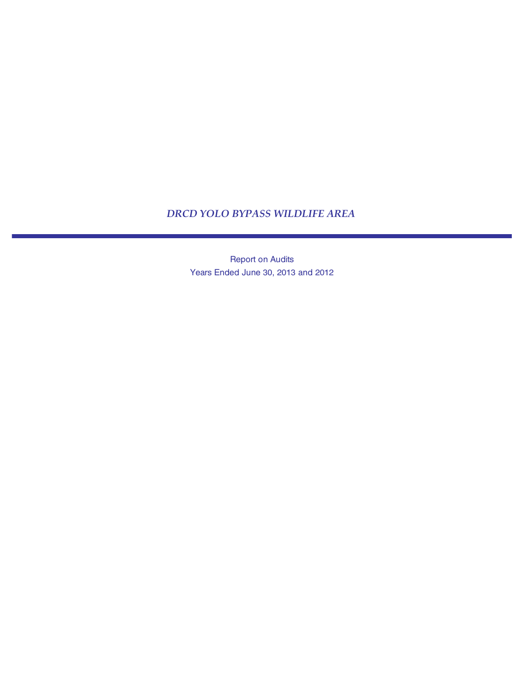Report on Audits Years Ended June 30, 2013 and 2012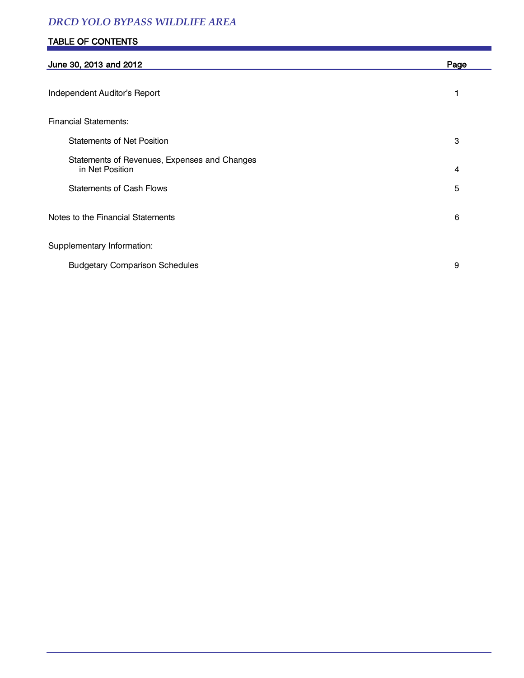## TABLE OF CONTENTS

| June 30, 2013 and 2012                                          | Page |
|-----------------------------------------------------------------|------|
| Independent Auditor's Report                                    | 1    |
| <b>Financial Statements:</b>                                    |      |
| <b>Statements of Net Position</b>                               | 3    |
| Statements of Revenues, Expenses and Changes<br>in Net Position | 4    |
| <b>Statements of Cash Flows</b>                                 | 5    |
| Notes to the Financial Statements                               | 6    |
| Supplementary Information:                                      |      |
| <b>Budgetary Comparison Schedules</b>                           | 9    |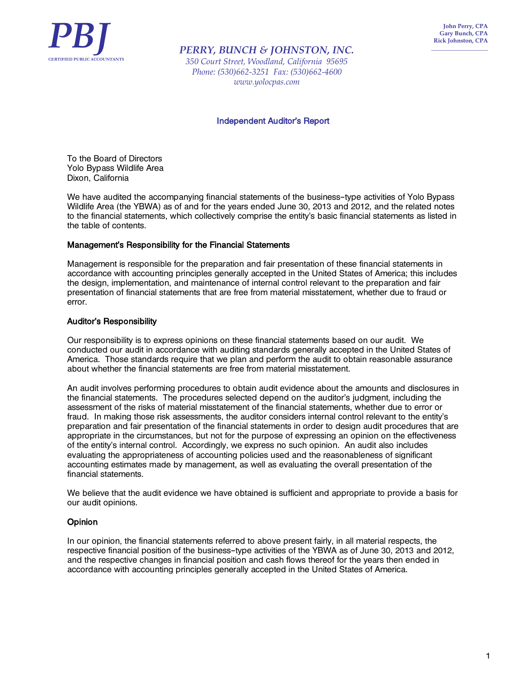

*350 Court Street, Woodland, California 95695 Phone: (530)662-3251 Fax: (530)662-4600 www.yolocpas.com*

Independent Auditor's Report

To the Board of Directors Yolo Bypass Wildlife Area Dixon, California

We have audited the accompanying financial statements of the business-type activities of Yolo Bypass Wildlife Area (the YBWA) as of and for the years ended June 30, 2013 and 2012, and the related notes to the financial statements, which collectively comprise the entity's basic financial statements as listed in the table of contents.

#### Management's Responsibility for the Financial Statements

Management is responsible for the preparation and fair presentation of these financial statements in accordance with accounting principles generally accepted in the United States of America; this includes the design, implementation, and maintenance of internal control relevant to the preparation and fair presentation of financial statements that are free from material misstatement, whether due to fraud or error.

#### Auditor's Responsibility

Our responsibility is to express opinions on these financial statements based on our audit. We conducted our audit in accordance with auditing standards generally accepted in the United States of America. Those standards require that we plan and perform the audit to obtain reasonable assurance about whether the financial statements are free from material misstatement.

An audit involves performing procedures to obtain audit evidence about the amounts and disclosures in the financial statements. The procedures selected depend on the auditor's judgment, including the assessment of the risks of material misstatement of the financial statements, whether due to error or fraud. In making those risk assessments, the auditor considers internal control relevant to the entity's preparation and fair presentation of the financial statements in order to design audit procedures that are appropriate in the circumstances, but not for the purpose of expressing an opinion on the effectiveness of the entity's internal control. Accordingly, we express no such opinion. An audit also includes evaluating the appropriateness of accounting policies used and the reasonableness of significant accounting estimates made by management, as well as evaluating the overall presentation of the financial statements.

We believe that the audit evidence we have obtained is sufficient and appropriate to provide a basis for our audit opinions.

#### **Opinion**

In our opinion, the financial statements referred to above present fairly, in all material respects, the respective financial position of the business-type activities of the YBWA as of June 30, 2013 and 2012, and the respective changes in financial position and cash flows thereof for the years then ended in accordance with accounting principles generally accepted in the United States of America.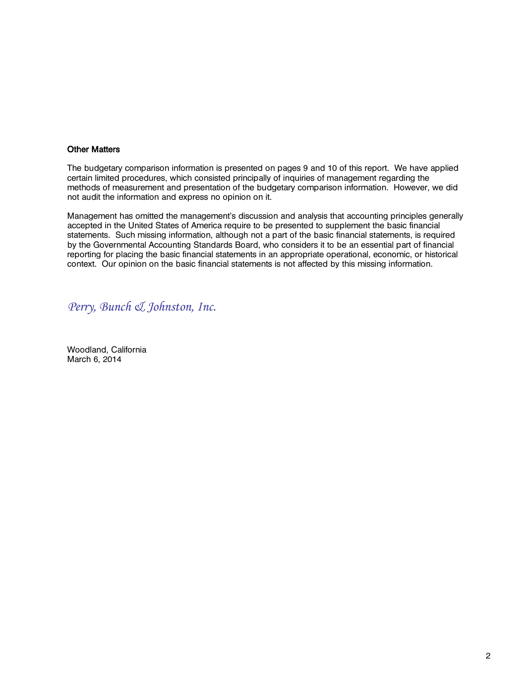#### Other Matters

The budgetary comparison information is presented on pages 9 and 10 of this report. We have applied certain limited procedures, which consisted principally of inquiries of management regarding the methods of measurement and presentation of the budgetary comparison information. However, we did not audit the information and express no opinion on it.

Management has omitted the management's discussion and analysis that accounting principles generally accepted in the United States of America require to be presented to supplement the basic financial statements. Such missing information, although not a part of the basic financial statements, is required by the Governmental Accounting Standards Board, who considers it to be an essential part of financial reporting for placing the basic financial statements in an appropriate operational, economic, or historical context. Our opinion on the basic financial statements is not affected by this missing information.

*Perry, Bunch & Johnston, Inc.*

Woodland, California March 6, 2014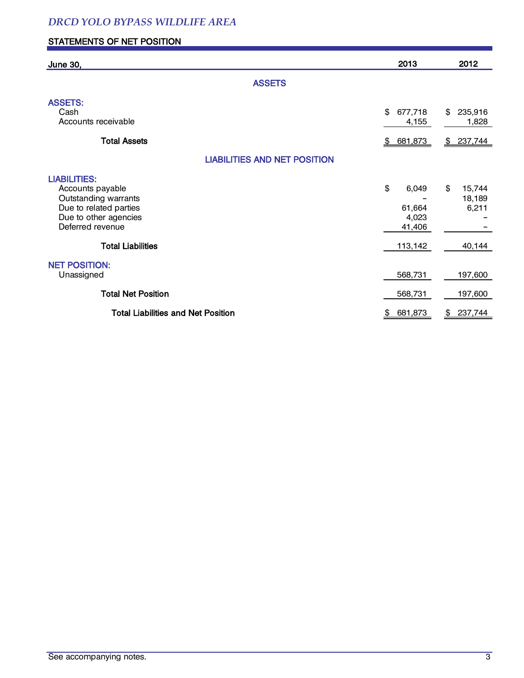## STATEMENTS OF NET POSITION

| June 30,                                                                                                                               | 2013                                     | 2012                            |
|----------------------------------------------------------------------------------------------------------------------------------------|------------------------------------------|---------------------------------|
| <b>ASSETS</b>                                                                                                                          |                                          |                                 |
| <b>ASSETS:</b><br>Cash<br>Accounts receivable                                                                                          | \$<br>677,718<br>4,155                   | 235,916<br>\$<br>1,828          |
| <b>Total Assets</b>                                                                                                                    | 681,873<br><u>\$</u>                     | \$237,744                       |
| <b>LIABILITIES AND NET POSITION</b>                                                                                                    |                                          |                                 |
| <b>LIABILITIES:</b><br>Accounts payable<br>Outstanding warrants<br>Due to related parties<br>Due to other agencies<br>Deferred revenue | \$<br>6,049<br>61,664<br>4,023<br>41,406 | \$<br>15,744<br>18,189<br>6,211 |
| <b>Total Liabilities</b>                                                                                                               | 113,142                                  | 40,144                          |
| <b>NET POSITION:</b><br>Unassigned                                                                                                     | 568,731                                  | 197,600                         |
| <b>Total Net Position</b>                                                                                                              | 568,731                                  | 197,600                         |
| <b>Total Liabilities and Net Position</b>                                                                                              | 681,873<br>\$                            | 237,744<br>\$                   |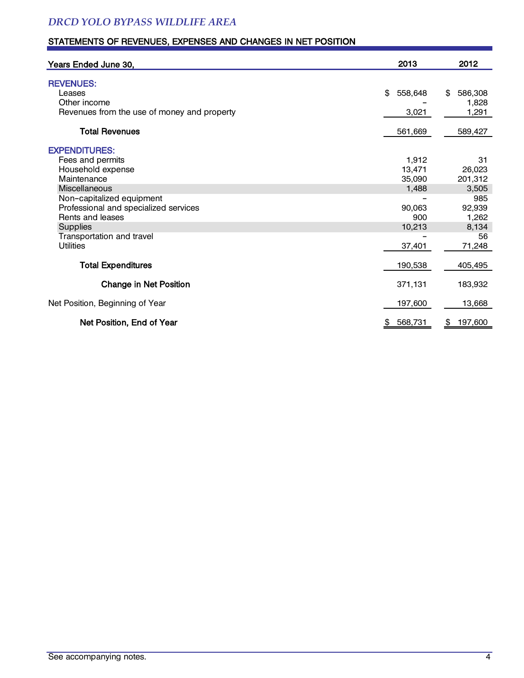## STATEMENTS OF REVENUES, EXPENSES AND CHANGES IN NET POSITION

| Years Ended June 30,                        | 2013          | 2012          |
|---------------------------------------------|---------------|---------------|
| <b>REVENUES:</b>                            |               |               |
| Leases                                      | 558,648<br>\$ | \$<br>586,308 |
| Other income                                |               | 1,828         |
| Revenues from the use of money and property | 3,021         | 1,291         |
|                                             |               |               |
| <b>Total Revenues</b>                       | 561,669       | 589,427       |
| <b>EXPENDITURES:</b>                        |               |               |
| Fees and permits                            | 1,912         | 31            |
| Household expense                           | 13,471        | 26,023        |
| Maintenance                                 | 35,090        | 201,312       |
| <b>Miscellaneous</b>                        | 1,488         | 3,505         |
| Non-capitalized equipment                   |               | 985           |
| Professional and specialized services       | 90,063        | 92,939        |
| <b>Rents and leases</b>                     | 900           | 1,262         |
| <b>Supplies</b>                             | 10,213        | 8,134         |
| Transportation and travel                   |               | 56            |
| <b>Utilities</b>                            | 37,401        | 71,248        |
| <b>Total Expenditures</b>                   | 190,538       | 405,495       |
| <b>Change in Net Position</b>               | 371,131       | 183,932       |
| Net Position, Beginning of Year             | 197,600       | 13,668        |
| Net Position, End of Year                   | 568,731<br>\$ | 197,600<br>\$ |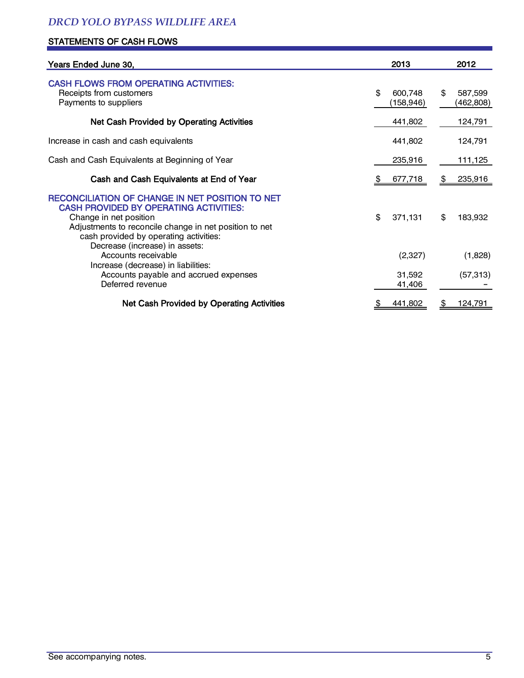# STATEMENTS OF CASH FLOWS

| Years Ended June 30,                                                                                                                                                                                                                                                    | 2013                       |      | 2012                 |
|-------------------------------------------------------------------------------------------------------------------------------------------------------------------------------------------------------------------------------------------------------------------------|----------------------------|------|----------------------|
| <b>CASH FLOWS FROM OPERATING ACTIVITIES:</b><br>Receipts from customers<br>Payments to suppliers                                                                                                                                                                        | \$<br>600,748<br>(158,946) | \$   | 587,599<br>(462,808) |
| Net Cash Provided by Operating Activities                                                                                                                                                                                                                               | 441,802                    |      | 124,791              |
| Increase in cash and cash equivalents                                                                                                                                                                                                                                   | 441,802                    |      | 124,791              |
| Cash and Cash Equivalents at Beginning of Year                                                                                                                                                                                                                          | 235,916                    |      | 111,125              |
| Cash and Cash Equivalents at End of Year                                                                                                                                                                                                                                | 677,718                    | - \$ | 235,916              |
| <b>RECONCILIATION OF CHANGE IN NET POSITION TO NET</b><br><b>CASH PROVIDED BY OPERATING ACTIVITIES:</b><br>Change in net position<br>Adjustments to reconcile change in net position to net<br>cash provided by operating activities:<br>Decrease (increase) in assets: | \$<br>371,131              | \$   | 183,932              |
| Accounts receivable                                                                                                                                                                                                                                                     | (2,327)                    |      | (1,828)              |
| Increase (decrease) in liabilities:<br>Accounts payable and accrued expenses<br>Deferred revenue                                                                                                                                                                        | 31,592<br>41,406           |      | (57, 313)            |
| <b>Net Cash Provided by Operating Activities</b>                                                                                                                                                                                                                        | \$<br>441,802              | \$   | 124.791              |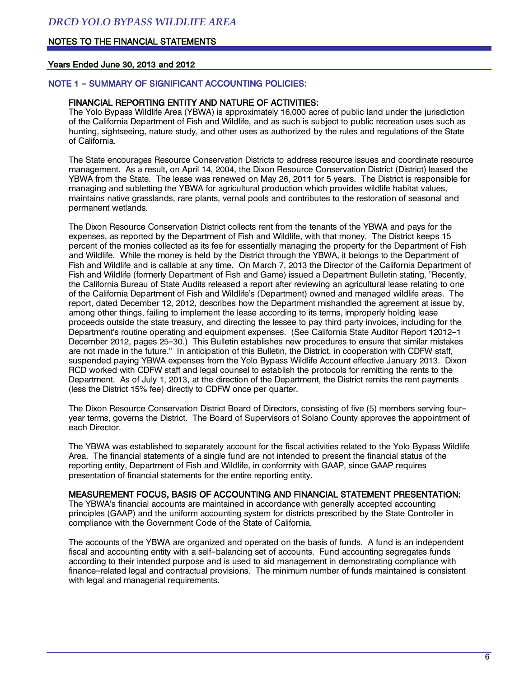#### NOTES TO THE FINANCIAL STATEMENTS

#### Years Ended June 30, 2013 and 2012

#### NOTE 1 - SUMMARY OF SIGNIFICANT ACCOUNTING POLICIES:

#### FINANCIAL REPORTING ENTITY AND NATURE OF ACTIVITIES:

The Yolo Bypass Wildlife Area (YBWA) is approximately 16,000 acres of public land under the jurisdiction of the California Department of Fish and Wildlife, and as such is subject to public recreation uses such as hunting, sightseeing, nature study, and other uses as authorized by the rules and regulations of the State of California.

The State encourages Resource Conservation Districts to address resource issues and coordinate resource management. As a result, on April 14, 2004, the Dixon Resource Conservation District (District) leased the YBWA from the State. The lease was renewed on May 26, 2011 for 5 years. The District is responsible for managing and subletting the YBWA for agricultural production which provides wildlife habitat values, maintains native grasslands, rare plants, vernal pools and contributes to the restoration of seasonal and permanent wetlands.

The Dixon Resource Conservation District collects rent from the tenants of the YBWA and pays for the expenses, as reported by the Department of Fish and Wildlife, with that money. The District keeps 15 percent of the monies collected as its fee for essentially managing the property for the Department of Fish and Wildlife. While the money is held by the District through the YBWA, it belongs to the Department of Fish and Wildlife and is callable at any time. On March 7, 2013 the Director of the California Department of Fish and Wildlife (formerly Department of Fish and Game) issued a Department Bulletin stating, "Recently, the California Bureau of State Audits released a report after reviewing an agricultural lease relating to one of the California Department of Fish and Wildlife's (Department) owned and managed wildlife areas. The report, dated December 12, 2012, describes how the Department mishandled the agreement at issue by, among other things, failing to implement the lease according to its terms, improperly holding lease proceeds outside the state treasury, and directing the lessee to pay third party invoices, including for the Department's routine operating and equipment expenses. (See California State Auditor Report 12012-1 December 2012, pages 25-30.) This Bulletin establishes new procedures to ensure that similar mistakes are not made in the future." In anticipation of this Bulletin, the District, in cooperation with CDFW staff, suspended paying YBWA expenses from the Yolo Bypass Wildlife Account effective January 2013. Dixon RCD worked with CDFW staff and legal counsel to establish the protocols for remitting the rents to the Department. As of July 1, 2013, at the direction of the Department, the District remits the rent payments (less the District 15% fee) directly to CDFW once per quarter.

The Dixon Resource Conservation District Board of Directors, consisting of five (5) members serving fouryear terms, governs the District. The Board of Supervisors of Solano County approves the appointment of each Director.

The YBWA was established to separately account for the fiscal activities related to the Yolo Bypass Wildlife Area. The financial statements of a single fund are not intended to present the financial status of the reporting entity, Department of Fish and Wildlife, in conformity with GAAP, since GAAP requires presentation of financial statements for the entire reporting entity.

#### MEASUREMENT FOCUS, BASIS OF ACCOUNTING AND FINANCIAL STATEMENT PRESENTATION:

The YBWA's financial accounts are maintained in accordance with generally accepted accounting principles (GAAP) and the uniform accounting system for districts prescribed by the State Controller in compliance with the Government Code of the State of California.

The accounts of the YBWA are organized and operated on the basis of funds. A fund is an independent fiscal and accounting entity with a self-balancing set of accounts. Fund accounting segregates funds according to their intended purpose and is used to aid management in demonstrating compliance with finance-related legal and contractual provisions. The minimum number of funds maintained is consistent with legal and managerial requirements.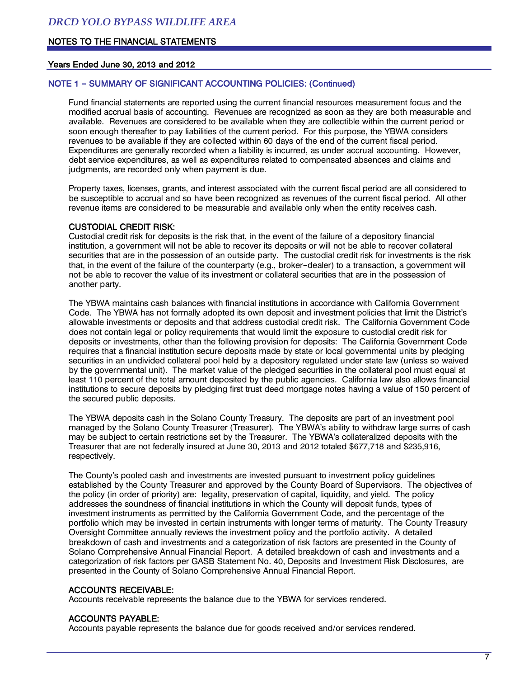#### NOTES TO THE FINANCIAL STATEMENTS

#### Years Ended June 30, 2013 and 2012

#### NOTE 1 - SUMMARY OF SIGNIFICANT ACCOUNTING POLICIES: (Continued)

Fund financial statements are reported using the current financial resources measurement focus and the modified accrual basis of accounting. Revenues are recognized as soon as they are both measurable and available. Revenues are considered to be available when they are collectible within the current period or soon enough thereafter to pay liabilities of the current period. For this purpose, the YBWA considers revenues to be available if they are collected within 60 days of the end of the current fiscal period. Expenditures are generally recorded when a liability is incurred, as under accrual accounting. However, debt service expenditures, as well as expenditures related to compensated absences and claims and judgments, are recorded only when payment is due.

Property taxes, licenses, grants, and interest associated with the current fiscal period are all considered to be susceptible to accrual and so have been recognized as revenues of the current fiscal period. All other revenue items are considered to be measurable and available only when the entity receives cash.

#### CUSTODIAL CREDIT RISK:

Custodial credit risk for deposits is the risk that, in the event of the failure of a depository financial institution, a government will not be able to recover its deposits or will not be able to recover collateral securities that are in the possession of an outside party. The custodial credit risk for investments is the risk that, in the event of the failure of the counterparty (e.g., broker-dealer) to a transaction, a government will not be able to recover the value of its investment or collateral securities that are in the possession of another party.

The YBWA maintains cash balances with financial institutions in accordance with California Government Code. The YBWA has not formally adopted its own deposit and investment policies that limit the District's allowable investments or deposits and that address custodial credit risk. The California Government Code does not contain legal or policy requirements that would limit the exposure to custodial credit risk for deposits or investments, other than the following provision for deposits: The California Government Code requires that a financial institution secure deposits made by state or local governmental units by pledging securities in an undivided collateral pool held by a depository regulated under state law (unless so waived by the governmental unit). The market value of the pledged securities in the collateral pool must equal at least 110 percent of the total amount deposited by the public agencies. California law also allows financial institutions to secure deposits by pledging first trust deed mortgage notes having a value of 150 percent of the secured public deposits.

The YBWA deposits cash in the Solano County Treasury. The deposits are part of an investment pool managed by the Solano County Treasurer (Treasurer). The YBWA's ability to withdraw large sums of cash may be subject to certain restrictions set by the Treasurer. The YBWA's collateralized deposits with the Treasurer that are not federally insured at June 30, 2013 and 2012 totaled \$677,718 and \$235,916, respectively.

The County's pooled cash and investments are invested pursuant to investment policy guidelines established by the County Treasurer and approved by the County Board of Supervisors. The objectives of the policy (in order of priority) are: legality, preservation of capital, liquidity, and yield. The policy addresses the soundness of financial institutions in which the County will deposit funds, types of investment instruments as permitted by the California Government Code, and the percentage of the portfolio which may be invested in certain instruments with longer terms of maturity. The County Treasury Oversight Committee annually reviews the investment policy and the portfolio activity. A detailed breakdown of cash and investments and a categorization of risk factors are presented in the County of Solano Comprehensive Annual Financial Report. A detailed breakdown of cash and investments and a categorization of risk factors per GASB Statement No. 40, Deposits and Investment Risk Disclosures, are presented in the County of Solano Comprehensive Annual Financial Report.

#### ACCOUNTS RECEIVABLE:

Accounts receivable represents the balance due to the YBWA for services rendered.

#### ACCOUNTS PAYABLE:

Accounts payable represents the balance due for goods received and/or services rendered.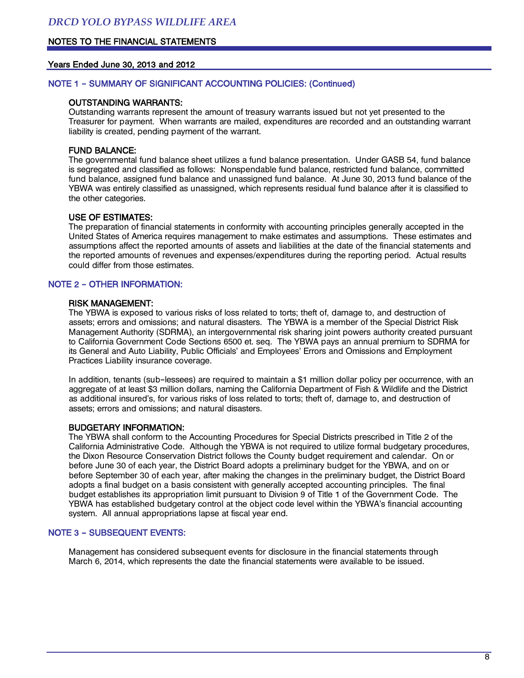#### NOTES TO THE FINANCIAL STATEMENTS

#### Years Ended June 30, 2013 and 2012

#### NOTE 1 - SUMMARY OF SIGNIFICANT ACCOUNTING POLICIES: (Continued)

#### OUTSTANDING WARRANTS:

Outstanding warrants represent the amount of treasury warrants issued but not yet presented to the Treasurer for payment. When warrants are mailed, expenditures are recorded and an outstanding warrant liability is created, pending payment of the warrant.

#### FUND BALANCE:

The governmental fund balance sheet utilizes a fund balance presentation. Under GASB 54, fund balance is segregated and classified as follows: Nonspendable fund balance, restricted fund balance, committed fund balance, assigned fund balance and unassigned fund balance. At June 30, 2013 fund balance of the YBWA was entirely classified as unassigned, which represents residual fund balance after it is classified to the other categories.

#### USE OF ESTIMATES:

The preparation of financial statements in conformity with accounting principles generally accepted in the United States of America requires management to make estimates and assumptions. These estimates and assumptions affect the reported amounts of assets and liabilities at the date of the financial statements and the reported amounts of revenues and expenses/expenditures during the reporting period. Actual results could differ from those estimates.

#### NOTE 2 - OTHER INFORMATION:

#### RISK MANAGEMENT:

The YBWA is exposed to various risks of loss related to torts; theft of, damage to, and destruction of assets; errors and omissions; and natural disasters. The YBWA is a member of the Special District Risk Management Authority (SDRMA), an intergovernmental risk sharing joint powers authority created pursuant to California Government Code Sections 6500 et. seq. The YBWA pays an annual premium to SDRMA for its General and Auto Liability, Public Officials' and Employees' Errors and Omissions and Employment Practices Liability insurance coverage.

In addition, tenants (sub-lessees) are required to maintain a \$1 million dollar policy per occurrence, with an aggregate of at least \$3 million dollars, naming the California Department of Fish & Wildlife and the District as additional insured's, for various risks of loss related to torts; theft of, damage to, and destruction of assets; errors and omissions; and natural disasters.

#### BUDGETARY INFORMATION:

The YBWA shall conform to the Accounting Procedures for Special Districts prescribed in Title 2 of the California Administrative Code. Although the YBWA is not required to utilize formal budgetary procedures, the Dixon Resource Conservation District follows the County budget requirement and calendar. On or before June 30 of each year, the District Board adopts a preliminary budget for the YBWA, and on or before September 30 of each year, after making the changes in the preliminary budget, the District Board adopts a final budget on a basis consistent with generally accepted accounting principles. The final budget establishes its appropriation limit pursuant to Division 9 of Title 1 of the Government Code. The YBWA has established budgetary control at the object code level within the YBWA's financial accounting system. All annual appropriations lapse at fiscal year end.

#### NOTE 3 - SUBSEQUENT EVENTS:

Management has considered subsequent events for disclosure in the financial statements through March 6, 2014, which represents the date the financial statements were available to be issued.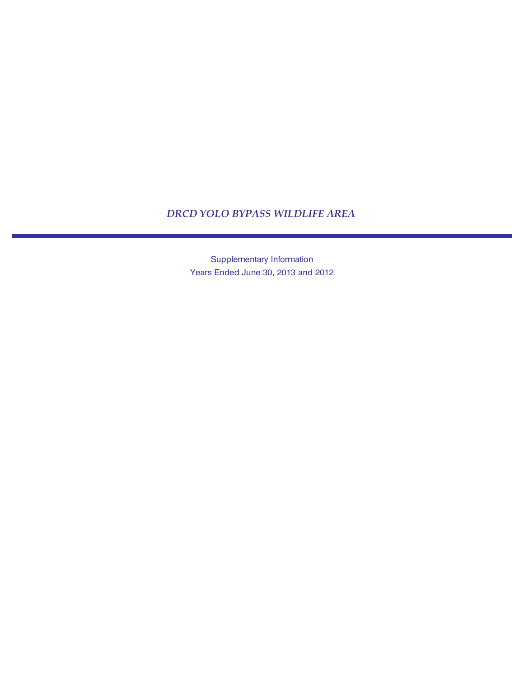Years Ended June 30, 2013 and 2012 Supplementary Information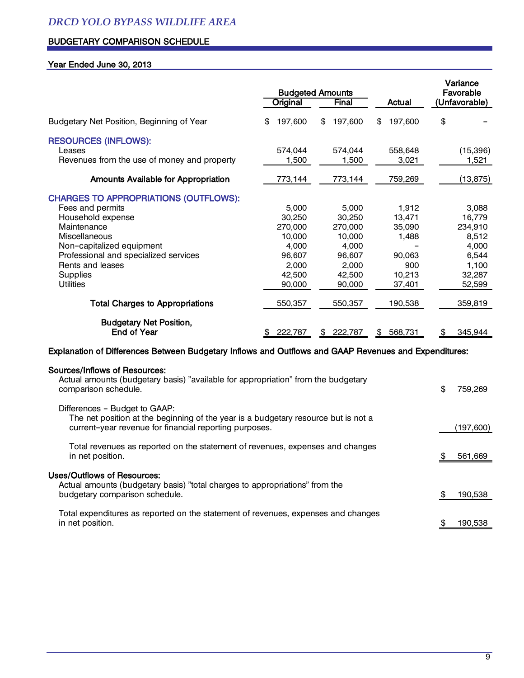## BUDGETARY COMPARISON SCHEDULE

## Year Ended June 30, 2013

|                                                                                                                                                                                                                                                        | Original                                                                             | <b>Budgeted Amounts</b><br>Final                                                     | Actual                                                                  | Variance<br>Favorable<br>(Unfavorable)                                             |
|--------------------------------------------------------------------------------------------------------------------------------------------------------------------------------------------------------------------------------------------------------|--------------------------------------------------------------------------------------|--------------------------------------------------------------------------------------|-------------------------------------------------------------------------|------------------------------------------------------------------------------------|
| Budgetary Net Position, Beginning of Year                                                                                                                                                                                                              | 197,600<br>S                                                                         | 197,600<br>\$.                                                                       | \$<br>197,600                                                           | \$                                                                                 |
| <b>RESOURCES (INFLOWS):</b><br>Leases<br>Revenues from the use of money and property                                                                                                                                                                   | 574,044<br>1,500                                                                     | 574,044<br>1.500                                                                     | 558,648<br>3,021                                                        | (15, 396)<br>1,521                                                                 |
| <b>Amounts Available for Appropriation</b>                                                                                                                                                                                                             | 773,144                                                                              | 773,144                                                                              | 759,269                                                                 | (13,875)                                                                           |
| <b>CHARGES TO APPROPRIATIONS (OUTFLOWS):</b><br>Fees and permits<br>Household expense<br>Maintenance<br>Miscellaneous<br>Non-capitalized equipment<br>Professional and specialized services<br>Rents and leases<br><b>Supplies</b><br><b>Utilities</b> | 5,000<br>30,250<br>270,000<br>10,000<br>4,000<br>96,607<br>2,000<br>42,500<br>90,000 | 5,000<br>30,250<br>270,000<br>10,000<br>4,000<br>96,607<br>2,000<br>42,500<br>90,000 | 1,912<br>13,471<br>35,090<br>1,488<br>90.063<br>900<br>10,213<br>37,401 | 3,088<br>16,779<br>234,910<br>8,512<br>4,000<br>6,544<br>1,100<br>32,287<br>52,599 |
| <b>Total Charges to Appropriations</b>                                                                                                                                                                                                                 | 550,357                                                                              | 550,357                                                                              | 190,538                                                                 | 359,819                                                                            |
| <b>Budgetary Net Position,</b><br>End of Year                                                                                                                                                                                                          | 222,787                                                                              | 222,787<br>\$                                                                        | 568,731<br>\$                                                           | 345,944<br>\$                                                                      |

# Explanation of Differences Between Budgetary Inflows and Outflows and GAAP Revenues and Expenditures:

#### Sources/Inflows of Resources:

| Actual amounts (budgetary basis) "available for appropriation" from the budgetary<br>comparison schedule.                                                                     | \$ | 759.269   |
|-------------------------------------------------------------------------------------------------------------------------------------------------------------------------------|----|-----------|
| Differences - Budget to GAAP:<br>The net position at the beginning of the year is a budgetary resource but is not a<br>current-year revenue for financial reporting purposes. |    | (197,600) |
| Total revenues as reported on the statement of revenues, expenses and changes<br>in net position.                                                                             |    | 561,669   |
| Uses/Outflows of Resources:<br>Actual amounts (budgetary basis) "total charges to appropriations" from the<br>budgetary comparison schedule.                                  | S  | 190,538   |
| Total expenditures as reported on the statement of revenues, expenses and changes<br>in net position.                                                                         |    | 190,538   |